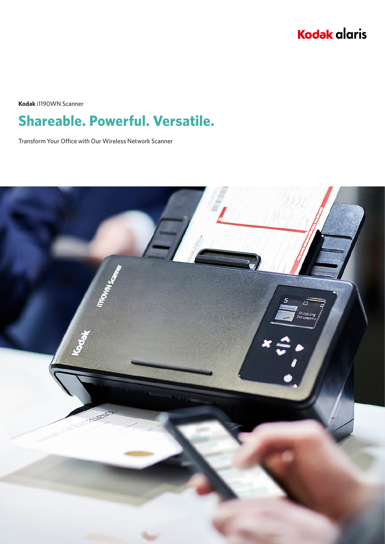

**Kodak** i1190WN Scanner

# **Shareable. Powerful. Versatile.**

Transform Your Office with Our Wireless Network Scanner

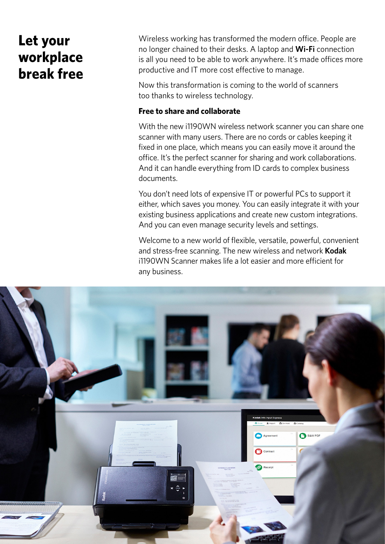## **Let your workplace break free**

Wireless working has transformed the modern office. People are no longer chained to their desks. A laptop and **Wi-Fi** connection is all you need to be able to work anywhere. It's made offices more productive and IT more cost effective to manage.

Now this transformation is coming to the world of scanners too thanks to wireless technology.

### **Free to share and collaborate**

With the new i1190WN wireless network scanner you can share one scanner with many users. There are no cords or cables keeping it fixed in one place, which means you can easily move it around the office. It's the perfect scanner for sharing and work collaborations. And it can handle everything from ID cards to complex business documents.

You don't need lots of expensive IT or powerful PCs to support it either, which saves you money. You can easily integrate it with your existing business applications and create new custom integrations. And you can even manage security levels and settings.

Welcome to a new world of flexible, versatile, powerful, convenient and stress-free scanning. The new wireless and network **Kodak** i1190WN Scanner makes life a lot easier and more efficient for any business.

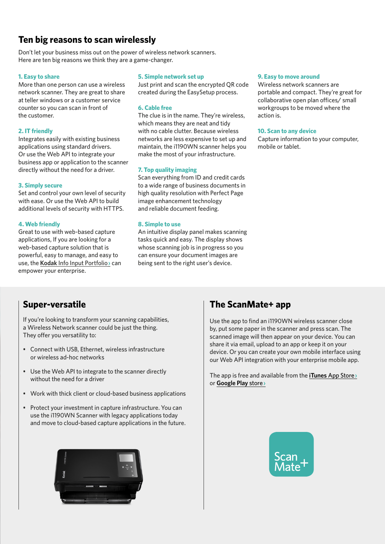### **Ten big reasons to scan wirelessly**

Don't let your business miss out on the power of wireless network scanners. Here are ten big reasons we think they are a game-changer.

#### **1. Easy to share**

More than one person can use a wireless network scanner. They are great to share at teller windows or a customer service counter so you can scan in front of the customer.

#### **2. IT friendly**

Integrates easily with existing business applications using standard drivers. Or use the Web API to integrate your business app or application to the scanner directly without the need for a driver.

#### **3. Simply secure**

Set and control your own level of security with ease. Or use the Web API to build additional levels of security with HTTPS.

#### **4. Web friendly**

Great to use with web-based capture applications, If you are looking for a web-based capture solution that is powerful, easy to manage, and easy to use, the **Kodak** [Info Input Portfolio](http://www.kodakalaris.com/go/infoinput)**›** can empower your enterprise.

#### **5. Simple network set up**

Just print and scan the encrypted QR code created during the EasySetup process.

#### **6. Cable free**

The clue is in the name. They're wireless, which means they are neat and tidy with no cable clutter. Because wireless networks are less expensive to set up and maintain, the i1190WN scanner helps you make the most of your infrastructure.

#### **7. Top quality imaging**

Scan everything from ID and credit cards to a wide range of business documents in high quality resolution with Perfect Page image enhancement technology and reliable document feeding.

#### **8. Simple to use**

An intuitive display panel makes scanning tasks quick and easy. The display shows whose scanning job is in progress so you can ensure your document images are being sent to the right user's device.

#### **9. Easy to move around**

Wireless network scanners are portable and compact. They're great for collaborative open plan offices/ small workgroups to be moved where the action is.

#### **10. Scan to any device**

Capture information to your computer, mobile or tablet.

### **Super-versatile**

If you're looking to transform your scanning capabilities, a Wireless Network scanner could be just the thing. They offer you versatility to:

- Connect with USB, Ethernet, wireless infrastructure or wireless ad-hoc networks
- Use the Web API to integrate to the scanner directly without the need for a driver
- Work with thick client or cloud-based business applications
- Protect your investment in capture infrastructure. You can use the i1190WN Scanner with legacy applications today and move to cloud-based capture applications in the future.



### **The ScanMate+ app**

Use the app to find an i1190WN wireless scanner close by, put some paper in the scanner and press scan. The scanned image will then appear on your device. You can share it via email, upload to an app or keep it on your device. Or you can create your own mobile interface using our Web API integration with your enterprise mobile app.

The app is free and available from the **iTunes** [App Store](http://www.apple.com/uk/itunes/)**›** or **[Google Play](https://play.google.com/store/apps?hl=en_GB)** store**›**